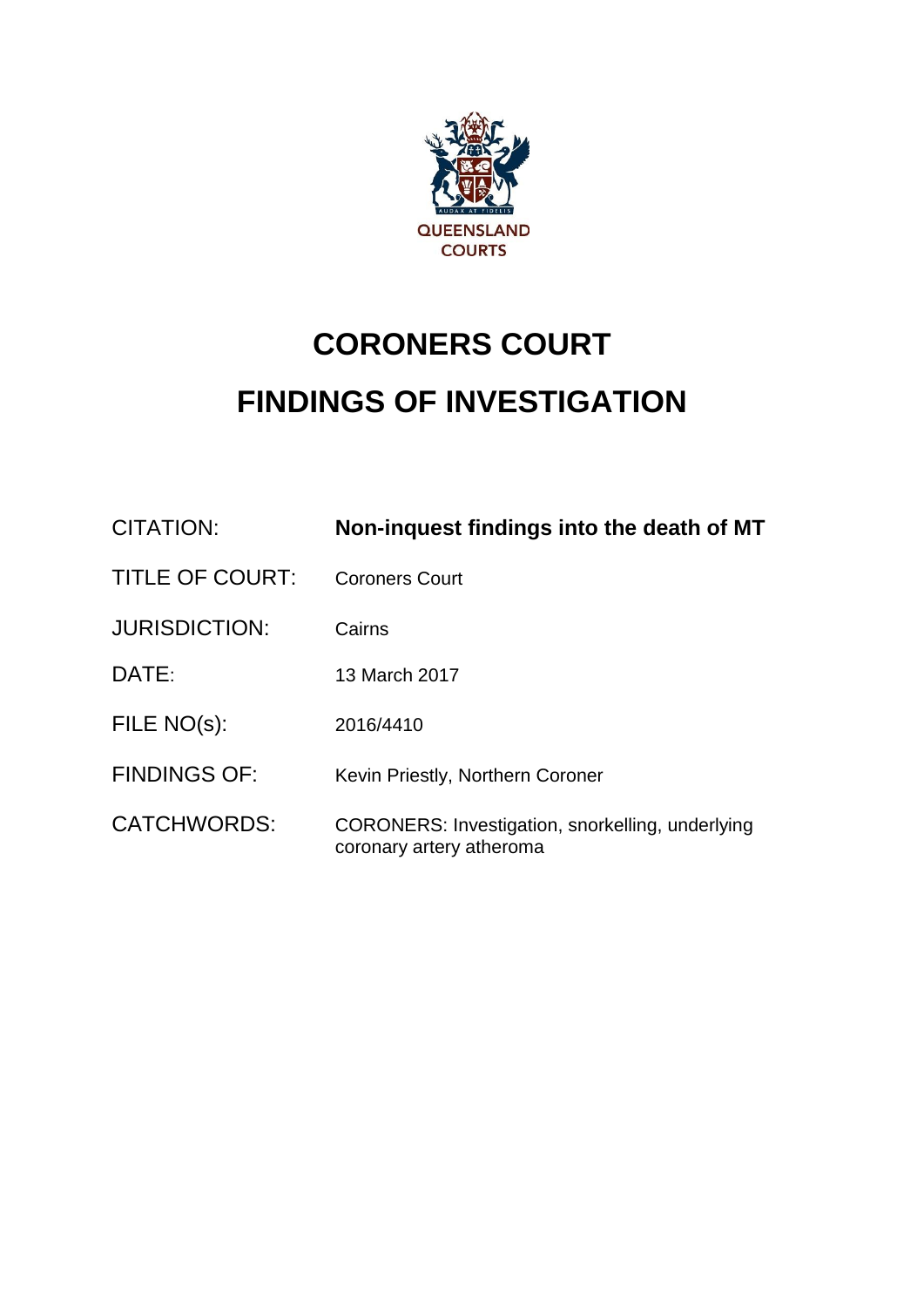

## **CORONERS COURT FINDINGS OF INVESTIGATION**

| <b>CITATION:</b>       | Non-inquest findings into the death of MT                                           |
|------------------------|-------------------------------------------------------------------------------------|
| <b>TITLE OF COURT:</b> | <b>Coroners Court</b>                                                               |
| <b>JURISDICTION:</b>   | Cairns                                                                              |
| DATE:                  | 13 March 2017                                                                       |
| FILE NO(s):            | 2016/4410                                                                           |
| <b>FINDINGS OF:</b>    | Kevin Priestly, Northern Coroner                                                    |
| <b>CATCHWORDS:</b>     | <b>CORONERS: Investigation, snorkelling, underlying</b><br>coronary artery atheroma |